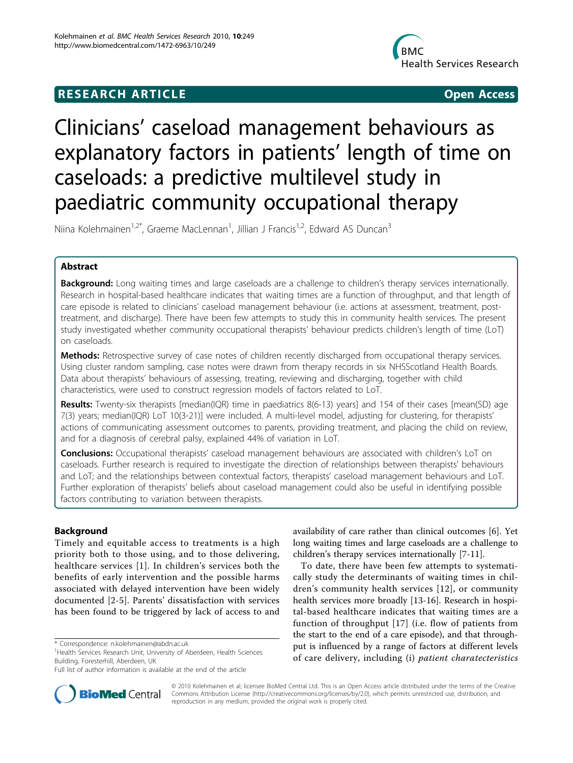# **RESEARCH ARTICLE Example 2018 CONSIDERING ACCESS**



# Clinicians' caseload management behaviours as explanatory factors in patients' length of time on caseloads: a predictive multilevel study in paediatric community occupational therapy

Niina Kolehmainen<sup>1,2\*</sup>, Graeme MacLennan<sup>1</sup>, Jillian J Francis<sup>1,2</sup>, Edward AS Duncan<sup>3</sup>

# Abstract

Background: Long waiting times and large caseloads are a challenge to children's therapy services internationally. Research in hospital-based healthcare indicates that waiting times are a function of throughput, and that length of care episode is related to clinicians' caseload management behaviour (i.e. actions at assessment, treatment, posttreatment, and discharge). There have been few attempts to study this in community health services. The present study investigated whether community occupational therapists' behaviour predicts children's length of time (LoT) on caseloads.

Methods: Retrospective survey of case notes of children recently discharged from occupational therapy services. Using cluster random sampling, case notes were drawn from therapy records in six NHSScotland Health Boards. Data about therapists' behaviours of assessing, treating, reviewing and discharging, together with child characteristics, were used to construct regression models of factors related to LoT.

Results: Twenty-six therapists [median(IQR) time in paediatrics 8(6-13) years] and 154 of their cases [mean(SD) age 7(3) years; median(IQR) LoT 10(3-21)] were included. A multi-level model, adjusting for clustering, for therapists' actions of communicating assessment outcomes to parents, providing treatment, and placing the child on review, and for a diagnosis of cerebral palsy, explained 44% of variation in LoT.

Conclusions: Occupational therapists' caseload management behaviours are associated with children's LoT on caseloads. Further research is required to investigate the direction of relationships between therapists' behaviours and LoT; and the relationships between contextual factors, therapists' caseload management behaviours and LoT. Further exploration of therapists' beliefs about caseload management could also be useful in identifying possible factors contributing to variation between therapists.

# Background

Timely and equitable access to treatments is a high priority both to those using, and to those delivering, healthcare services [[1\]](#page-7-0). In children's services both the benefits of early intervention and the possible harms associated with delayed intervention have been widely documented [\[2](#page-7-0)-[5\]](#page-7-0). Parents' dissatisfaction with services has been found to be triggered by lack of access to and



To date, there have been few attempts to systematically study the determinants of waiting times in children's community health services [\[12\]](#page-7-0), or community health services more broadly [[13](#page-7-0)[-16](#page-8-0)]. Research in hospital-based healthcare indicates that waiting times are a function of throughput [\[17](#page-8-0)] (i.e. flow of patients from the start to the end of a care episode), and that throughput is influenced by a range of factors at different levels of care delivery, including (i) patient charatecteristics



© 2010 Kolehmainen et al; licensee BioMed Central Ltd. This is an Open Access article distributed under the terms of the Creative Commons Attribution License [\(http://creativecommons.org/licenses/by/2.0](http://creativecommons.org/licenses/by/2.0)), which permits unrestricted use, distribution, and reproduction in any medium, provided the original work is properly cited.

<sup>\*</sup> Correspondence: [n.kolehmainen@abdn.ac.uk](mailto:n.kolehmainen@abdn.ac.uk)

<sup>&</sup>lt;sup>1</sup> Health Services Research Unit, University of Aberdeen, Health Sciences Building, Foresterhill, Aberdeen, UK

Full list of author information is available at the end of the article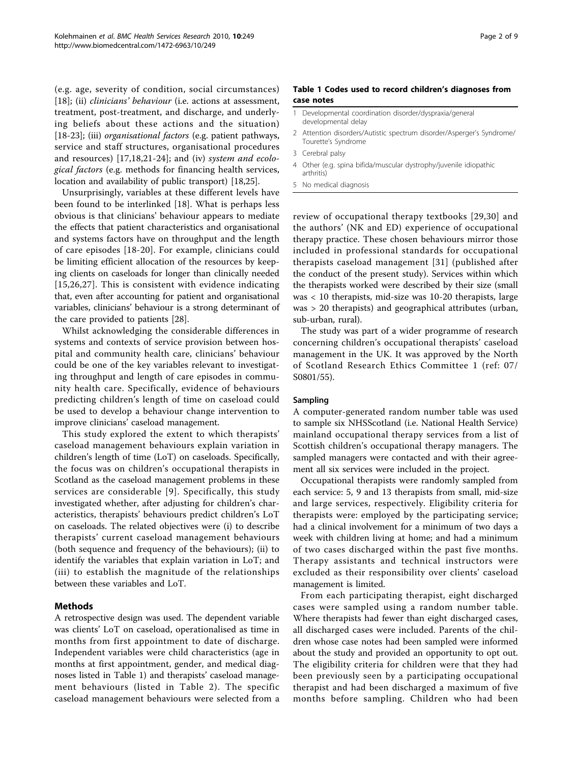(e.g. age, severity of condition, social circumstances) [[18\]](#page-8-0); (ii) *clinicians' behaviour* (i.e. actions at assessment, treatment, post-treatment, and discharge, and underlying beliefs about these actions and the situation) [[18-23\]](#page-8-0); (iii) organisational factors (e.g. patient pathways, service and staff structures, organisational procedures and resources) [\[17](#page-8-0),[18,21-24](#page-8-0)]; and (iv) system and ecological factors (e.g. methods for financing health services, location and availability of public transport) [\[18,25\]](#page-8-0).

Unsurprisingly, variables at these different levels have been found to be interlinked [\[18](#page-8-0)]. What is perhaps less obvious is that clinicians' behaviour appears to mediate the effects that patient characteristics and organisational and systems factors have on throughput and the length of care episodes [[18](#page-8-0)-[20](#page-8-0)]. For example, clinicians could be limiting efficient allocation of the resources by keeping clients on caseloads for longer than clinically needed [[15](#page-7-0),[26,27\]](#page-8-0). This is consistent with evidence indicating that, even after accounting for patient and organisational variables, clinicians' behaviour is a strong determinant of the care provided to patients [[28](#page-8-0)].

Whilst acknowledging the considerable differences in systems and contexts of service provision between hospital and community health care, clinicians' behaviour could be one of the key variables relevant to investigating throughput and length of care episodes in community health care. Specifically, evidence of behaviours predicting children's length of time on caseload could be used to develop a behaviour change intervention to improve clinicians' caseload management.

This study explored the extent to which therapists' caseload management behaviours explain variation in children's length of time (LoT) on caseloads. Specifically, the focus was on children's occupational therapists in Scotland as the caseload management problems in these services are considerable [[9\]](#page-7-0). Specifically, this study investigated whether, after adjusting for children's characteristics, therapists' behaviours predict children's LoT on caseloads. The related objectives were (i) to describe therapists' current caseload management behaviours (both sequence and frequency of the behaviours); (ii) to identify the variables that explain variation in LoT; and (iii) to establish the magnitude of the relationships between these variables and LoT.

# Methods

A retrospective design was used. The dependent variable was clients' LoT on caseload, operationalised as time in months from first appointment to date of discharge. Independent variables were child characteristics (age in months at first appointment, gender, and medical diagnoses listed in Table 1) and therapists' caseload management behaviours (listed in Table [2\)](#page-2-0). The specific caseload management behaviours were selected from a

# Table 1 Codes used to record children's diagnoses from case notes

- 1 Developmental coordination disorder/dyspraxia/general developmental delay
- 2 Attention disorders/Autistic spectrum disorder/Asperger's Syndrome/ Tourette's Syndrome
- 3 Cerebral palsy
- 4 Other (e.g. spina bifida/muscular dystrophy/juvenile idiopathic arthritis)
- 5 No medical diagnosis

review of occupational therapy textbooks [[29](#page-8-0),[30\]](#page-8-0) and the authors' (NK and ED) experience of occupational therapy practice. These chosen behaviours mirror those included in professional standards for occupational therapists caseload management [[31](#page-8-0)] (published after the conduct of the present study). Services within which the therapists worked were described by their size (small was < 10 therapists, mid-size was 10-20 therapists, large was > 20 therapists) and geographical attributes (urban, sub-urban, rural).

The study was part of a wider programme of research concerning children's occupational therapists' caseload management in the UK. It was approved by the North of Scotland Research Ethics Committee 1 (ref: 07/ S0801/55).

#### Sampling

A computer-generated random number table was used to sample six NHSScotland (i.e. National Health Service) mainland occupational therapy services from a list of Scottish children's occupational therapy managers. The sampled managers were contacted and with their agreement all six services were included in the project.

Occupational therapists were randomly sampled from each service: 5, 9 and 13 therapists from small, mid-size and large services, respectively. Eligibility criteria for therapists were: employed by the participating service; had a clinical involvement for a minimum of two days a week with children living at home; and had a minimum of two cases discharged within the past five months. Therapy assistants and technical instructors were excluded as their responsibility over clients' caseload management is limited.

From each participating therapist, eight discharged cases were sampled using a random number table. Where therapists had fewer than eight discharged cases, all discharged cases were included. Parents of the children whose case notes had been sampled were informed about the study and provided an opportunity to opt out. The eligibility criteria for children were that they had been previously seen by a participating occupational therapist and had been discharged a maximum of five months before sampling. Children who had been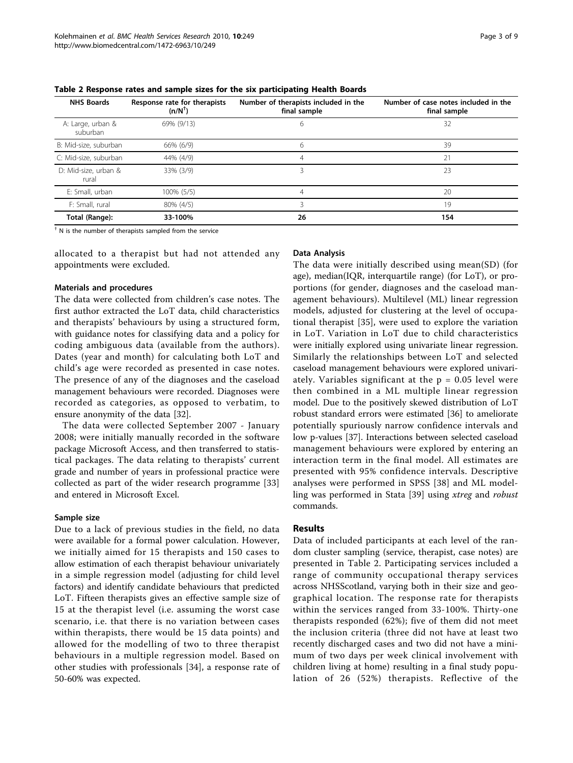| <b>NHS Boards</b>             | Response rate for therapists<br>$(n/N^{\dagger})$ | Number of therapists included in the<br>final sample | Number of case notes included in the<br>final sample |
|-------------------------------|---------------------------------------------------|------------------------------------------------------|------------------------------------------------------|
| A: Large, urban &<br>suburban | 69% (9/13)                                        | 6                                                    | 32                                                   |
| B: Mid-size, suburban         | 66% (6/9)                                         | 6                                                    | 39                                                   |
| C: Mid-size, suburban         | 44% (4/9)                                         | 4                                                    | 21                                                   |
| D: Mid-size, urban &<br>rural | 33% (3/9)                                         | 3                                                    | 23                                                   |
| E: Small, urban               | 100% (5/5)                                        | 4                                                    | 20                                                   |
| F: Small, rural               | 80% (4/5)                                         | ξ                                                    | 19                                                   |
| Total (Range):                | 33-100%                                           | 26                                                   | 154                                                  |

<span id="page-2-0"></span>Table 2 Response rates and sample sizes for the six participating Health Boards

 $<sup>†</sup>$  N is the number of therapists sampled from the service</sup>

allocated to a therapist but had not attended any appointments were excluded.

#### Materials and procedures

The data were collected from children's case notes. The first author extracted the LoT data, child characteristics and therapists' behaviours by using a structured form, with guidance notes for classifying data and a policy for coding ambiguous data (available from the authors). Dates (year and month) for calculating both LoT and child's age were recorded as presented in case notes. The presence of any of the diagnoses and the caseload management behaviours were recorded. Diagnoses were recorded as categories, as opposed to verbatim, to ensure anonymity of the data [[32](#page-8-0)].

The data were collected September 2007 - January 2008; were initially manually recorded in the software package Microsoft Access, and then transferred to statistical packages. The data relating to therapists' current grade and number of years in professional practice were collected as part of the wider research programme [\[33](#page-8-0)] and entered in Microsoft Excel.

#### Sample size

Due to a lack of previous studies in the field, no data were available for a formal power calculation. However, we initially aimed for 15 therapists and 150 cases to allow estimation of each therapist behaviour univariately in a simple regression model (adjusting for child level factors) and identify candidate behaviours that predicted LoT. Fifteen therapists gives an effective sample size of 15 at the therapist level (i.e. assuming the worst case scenario, i.e. that there is no variation between cases within therapists, there would be 15 data points) and allowed for the modelling of two to three therapist behaviours in a multiple regression model. Based on other studies with professionals [\[34](#page-8-0)], a response rate of 50-60% was expected.

#### Data Analysis

The data were initially described using mean(SD) (for age), median(IQR, interquartile range) (for LoT), or proportions (for gender, diagnoses and the caseload management behaviours). Multilevel (ML) linear regression models, adjusted for clustering at the level of occupational therapist [[35](#page-8-0)], were used to explore the variation in LoT. Variation in LoT due to child characteristics were initially explored using univariate linear regression. Similarly the relationships between LoT and selected caseload management behaviours were explored univariately. Variables significant at the  $p = 0.05$  level were then combined in a ML multiple linear regression model. Due to the positively skewed distribution of LoT robust standard errors were estimated [\[36\]](#page-8-0) to ameliorate potentially spuriously narrow confidence intervals and low p-values [\[37](#page-8-0)]. Interactions between selected caseload management behaviours were explored by entering an interaction term in the final model. All estimates are presented with 95% confidence intervals. Descriptive analyses were performed in SPSS [[38](#page-8-0)] and ML modelling was performed in Stata [\[39](#page-8-0)] using xtreg and robust commands.

### Results

Data of included participants at each level of the random cluster sampling (service, therapist, case notes) are presented in Table 2. Participating services included a range of community occupational therapy services across NHSScotland, varying both in their size and geographical location. The response rate for therapists within the services ranged from 33-100%. Thirty-one therapists responded (62%); five of them did not meet the inclusion criteria (three did not have at least two recently discharged cases and two did not have a minimum of two days per week clinical involvement with children living at home) resulting in a final study population of 26 (52%) therapists. Reflective of the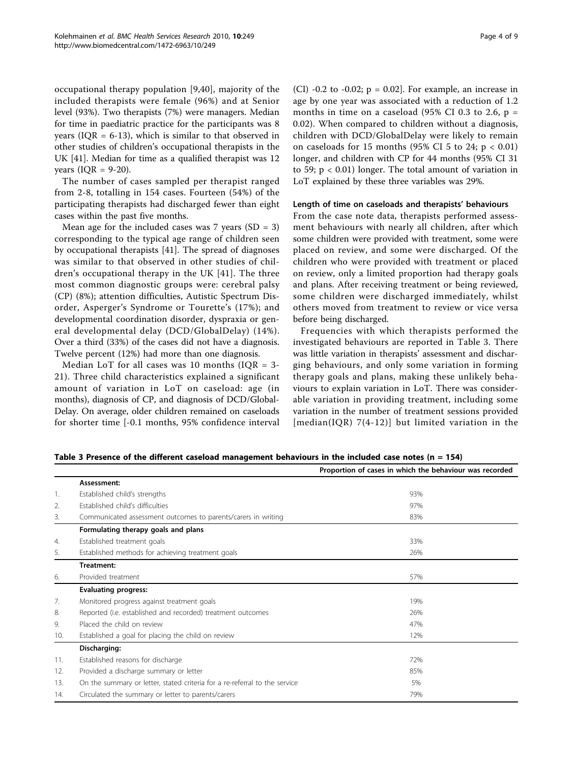occupational therapy population [[9,](#page-7-0)[40](#page-8-0)], majority of the included therapists were female (96%) and at Senior level (93%). Two therapists (7%) were managers. Median for time in paediatric practice for the participants was 8 years (IQR =  $6-13$ ), which is similar to that observed in other studies of children's occupational therapists in the UK [[41\]](#page-8-0). Median for time as a qualified therapist was 12 years (IOR =  $9-20$ ).

The number of cases sampled per therapist ranged from 2-8, totalling in 154 cases. Fourteen (54%) of the participating therapists had discharged fewer than eight cases within the past five months.

Mean age for the included cases was  $7$  years (SD = 3) corresponding to the typical age range of children seen by occupational therapists [\[41](#page-8-0)]. The spread of diagnoses was similar to that observed in other studies of children's occupational therapy in the UK [[41](#page-8-0)]. The three most common diagnostic groups were: cerebral palsy (CP) (8%); attention difficulties, Autistic Spectrum Disorder, Asperger's Syndrome or Tourette's (17%); and developmental coordination disorder, dyspraxia or general developmental delay (DCD/GlobalDelay) (14%). Over a third (33%) of the cases did not have a diagnosis. Twelve percent (12%) had more than one diagnosis.

Median LoT for all cases was 10 months  $IQR = 3-$ 21). Three child characteristics explained a significant amount of variation in LoT on caseload: age (in months), diagnosis of CP, and diagnosis of DCD/Global-Delay. On average, older children remained on caseloads for shorter time [-0.1 months, 95% confidence interval (CI) -0.2 to -0.02;  $p = 0.02$ ]. For example, an increase in age by one year was associated with a reduction of 1.2 months in time on a caseload (95% CI 0.3 to 2.6,  $p =$ 0.02). When compared to children without a diagnosis, children with DCD/GlobalDelay were likely to remain on caseloads for 15 months (95% CI 5 to 24;  $p < 0.01$ ) longer, and children with CP for 44 months (95% CI 31 to 59;  $p < 0.01$ ) longer. The total amount of variation in LoT explained by these three variables was 29%.

#### Length of time on caseloads and therapists' behaviours

From the case note data, therapists performed assessment behaviours with nearly all children, after which some children were provided with treatment, some were placed on review, and some were discharged. Of the children who were provided with treatment or placed on review, only a limited proportion had therapy goals and plans. After receiving treatment or being reviewed, some children were discharged immediately, whilst others moved from treatment to review or vice versa before being discharged.

Frequencies with which therapists performed the investigated behaviours are reported in Table 3. There was little variation in therapists' assessment and discharging behaviours, and only some variation in forming therapy goals and plans, making these unlikely behaviours to explain variation in LoT. There was considerable variation in providing treatment, including some variation in the number of treatment sessions provided [median(IQR) 7(4-12)] but limited variation in the

|     |                                                                            | Proportion of cases in which the behaviour was recorded |
|-----|----------------------------------------------------------------------------|---------------------------------------------------------|
|     | Assessment:                                                                |                                                         |
| 1.  | Established child's strengths                                              | 93%                                                     |
| 2.  | Established child's difficulties                                           | 97%                                                     |
| 3.  | Communicated assessment outcomes to parents/carers in writing              | 83%                                                     |
|     | Formulating therapy goals and plans                                        |                                                         |
| 4.  | Established treatment goals                                                | 33%                                                     |
| 5.  | Established methods for achieving treatment goals                          | 26%                                                     |
|     | Treatment:                                                                 |                                                         |
| 6.  | Provided treatment                                                         | 57%                                                     |
|     | <b>Evaluating progress:</b>                                                |                                                         |
| 7.  | Monitored progress against treatment goals                                 | 19%                                                     |
| 8.  | Reported (i.e. established and recorded) treatment outcomes                | 26%                                                     |
| 9.  | Placed the child on review                                                 | 47%                                                     |
| 10. | Established a goal for placing the child on review                         | 12%                                                     |
|     | Discharging:                                                               |                                                         |
| 11. | Established reasons for discharge                                          | 72%                                                     |
| 12. | Provided a discharge summary or letter                                     | 85%                                                     |
| 13. | On the summary or letter, stated criteria for a re-referral to the service | 5%                                                      |
| 14. | Circulated the summary or letter to parents/carers                         | 79%                                                     |

Table 3 Presence of the different caseload management behaviours in the included case notes (n = 154)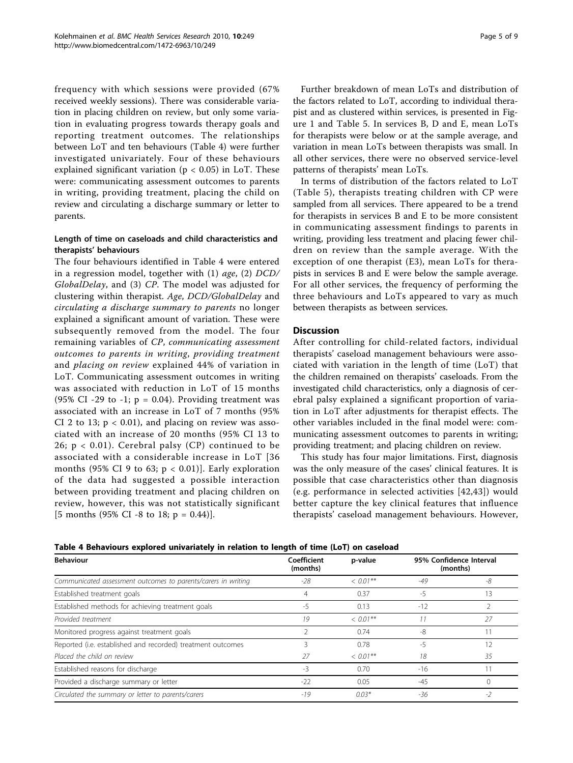frequency with which sessions were provided (67% received weekly sessions). There was considerable variation in placing children on review, but only some variation in evaluating progress towards therapy goals and reporting treatment outcomes. The relationships between LoT and ten behaviours (Table 4) were further investigated univariately. Four of these behaviours explained significant variation ( $p < 0.05$ ) in LoT. These were: communicating assessment outcomes to parents in writing, providing treatment, placing the child on review and circulating a discharge summary or letter to parents.

# Length of time on caseloads and child characteristics and therapists' behaviours

The four behaviours identified in Table 4 were entered in a regression model, together with  $(1)$  age,  $(2)$  DCD/ GlobalDelay, and (3) CP. The model was adjusted for clustering within therapist. Age, DCD/GlobalDelay and circulating a discharge summary to parents no longer explained a significant amount of variation. These were subsequently removed from the model. The four remaining variables of CP, communicating assessment outcomes to parents in writing, providing treatment and placing on review explained 44% of variation in LoT. Communicating assessment outcomes in writing was associated with reduction in LoT of 15 months (95% CI -29 to -1;  $p = 0.04$ ). Providing treatment was associated with an increase in LoT of 7 months (95% CI 2 to 13;  $p < 0.01$ ), and placing on review was associated with an increase of 20 months (95% CI 13 to 26;  $p < 0.01$ ). Cerebral palsy (CP) continued to be associated with a considerable increase in LoT [36 months (95% CI 9 to 63;  $p < 0.01$ )]. Early exploration of the data had suggested a possible interaction between providing treatment and placing children on review, however, this was not statistically significant [5 months (95% CI -8 to 18;  $p = 0.44$ )].

Further breakdown of mean LoTs and distribution of the factors related to LoT, according to individual therapist and as clustered within services, is presented in Figure [1](#page-5-0) and Table [5](#page-6-0). In services B, D and E, mean LoTs for therapists were below or at the sample average, and variation in mean LoTs between therapists was small. In all other services, there were no observed service-level patterns of therapists' mean LoTs.

In terms of distribution of the factors related to LoT (Table [5](#page-6-0)), therapists treating children with CP were sampled from all services. There appeared to be a trend for therapists in services B and E to be more consistent in communicating assessment findings to parents in writing, providing less treatment and placing fewer children on review than the sample average. With the exception of one therapist (E3), mean LoTs for therapists in services B and E were below the sample average. For all other services, the frequency of performing the three behaviours and LoTs appeared to vary as much between therapists as between services.

# **Discussion**

After controlling for child-related factors, individual therapists' caseload management behaviours were associated with variation in the length of time (LoT) that the children remained on therapists' caseloads. From the investigated child characteristics, only a diagnosis of cerebral palsy explained a significant proportion of variation in LoT after adjustments for therapist effects. The other variables included in the final model were: communicating assessment outcomes to parents in writing; providing treatment; and placing children on review.

This study has four major limitations. First, diagnosis was the only measure of the cases' clinical features. It is possible that case characteristics other than diagnosis (e.g. performance in selected activities [[42](#page-8-0),[43](#page-8-0)]) would better capture the key clinical features that influence therapists' caseload management behaviours. However,

Table 4 Behaviours explored univariately in relation to length of time (LoT) on caseload

| <b>Behaviour</b>                                              | Coefficient<br>(months) | p-value     | 95% Confidence Interval<br>(months) |      |  |
|---------------------------------------------------------------|-------------------------|-------------|-------------------------------------|------|--|
| Communicated assessment outcomes to parents/carers in writing | $-28$                   | $< 0.01***$ | $-49$                               | -8   |  |
| Established treatment goals                                   | 4                       | 0.37        | $-5$                                | 13   |  |
| Established methods for achieving treatment goals             | -5                      | 0.13        | $-12$                               |      |  |
| Provided treatment                                            | 19                      | $< 0.01**$  | 11                                  | 27   |  |
| Monitored progress against treatment goals                    |                         | 0.74        | -8                                  |      |  |
| Reported (i.e. established and recorded) treatment outcomes   |                         | 0.78        | -5                                  | 12   |  |
| Placed the child on review                                    | 27                      | $< 0.01***$ | 18                                  | 35   |  |
| Established reasons for discharge                             | -3                      | 0.70        | $-16$                               |      |  |
| Provided a discharge summary or letter                        | $-22$                   | 0.05        | $-45$                               | 0    |  |
| Circulated the summary or letter to parents/carers            | $-19$                   | $0.03*$     | $-36$                               | $-2$ |  |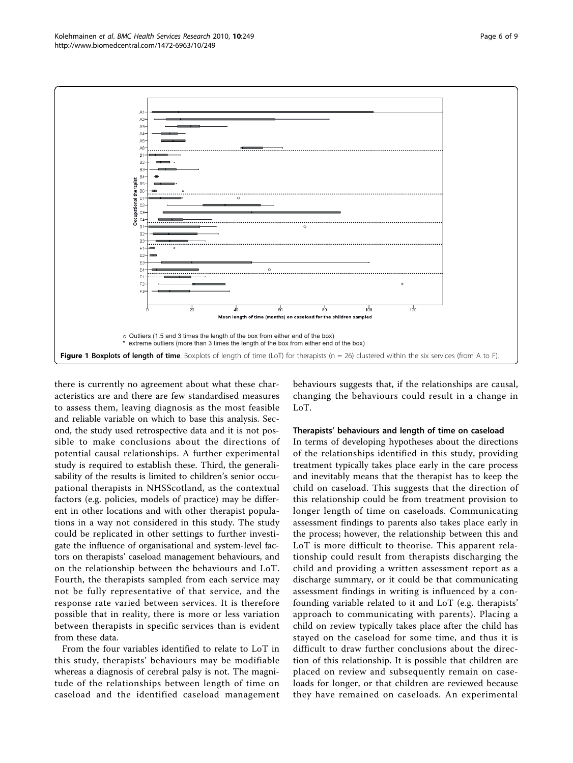<span id="page-5-0"></span>

there is currently no agreement about what these characteristics are and there are few standardised measures to assess them, leaving diagnosis as the most feasible and reliable variable on which to base this analysis. Second, the study used retrospective data and it is not possible to make conclusions about the directions of potential causal relationships. A further experimental study is required to establish these. Third, the generalisability of the results is limited to children's senior occupational therapists in NHSScotland, as the contextual factors (e.g. policies, models of practice) may be different in other locations and with other therapist populations in a way not considered in this study. The study could be replicated in other settings to further investigate the influence of organisational and system-level factors on therapists' caseload management behaviours, and on the relationship between the behaviours and LoT. Fourth, the therapists sampled from each service may not be fully representative of that service, and the response rate varied between services. It is therefore possible that in reality, there is more or less variation between therapists in specific services than is evident from these data.

From the four variables identified to relate to LoT in this study, therapists' behaviours may be modifiable whereas a diagnosis of cerebral palsy is not. The magnitude of the relationships between length of time on caseload and the identified caseload management behaviours suggests that, if the relationships are causal, changing the behaviours could result in a change in LoT.

#### Therapists' behaviours and length of time on caseload

In terms of developing hypotheses about the directions of the relationships identified in this study, providing treatment typically takes place early in the care process and inevitably means that the therapist has to keep the child on caseload. This suggests that the direction of this relationship could be from treatment provision to longer length of time on caseloads. Communicating assessment findings to parents also takes place early in the process; however, the relationship between this and LoT is more difficult to theorise. This apparent relationship could result from therapists discharging the child and providing a written assessment report as a discharge summary, or it could be that communicating assessment findings in writing is influenced by a confounding variable related to it and LoT (e.g. therapists' approach to communicating with parents). Placing a child on review typically takes place after the child has stayed on the caseload for some time, and thus it is difficult to draw further conclusions about the direction of this relationship. It is possible that children are placed on review and subsequently remain on caseloads for longer, or that children are reviewed because they have remained on caseloads. An experimental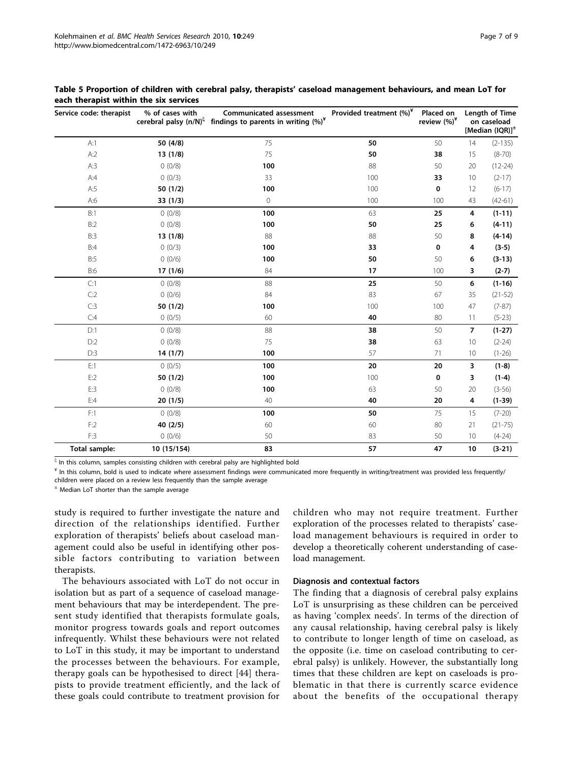| Service code: therapist | % of cases with | Communicated assessment<br>cerebral palsy $(n/N)^{\xi}$ findings to parents in writing $(\%)^*$ | Provided treatment (%) <sup>¥</sup> | Placed on<br>review $(\%)^*$ | Length of Time<br>on caseload<br>[Median $\text{(IQR)}$ ] <sup><math>\pm</math></sup> |             |
|-------------------------|-----------------|-------------------------------------------------------------------------------------------------|-------------------------------------|------------------------------|---------------------------------------------------------------------------------------|-------------|
| A:1                     | 50(4/8)         | 75                                                                                              | 50                                  | 50                           | 14                                                                                    | $(2-135)$   |
| A:2                     | 13(1/8)         | 75                                                                                              | 50                                  | 38                           | 15                                                                                    | $(8-70)$    |
| A:3                     | 0(0/8)          | 100                                                                                             | 88                                  | 50                           | 20                                                                                    | $(12-24)$   |
| A:4                     | 0(0/3)          | 33                                                                                              | 100                                 | 33                           | 10                                                                                    | $(2-17)$    |
| A:5                     | 50(1/2)         | 100                                                                                             | 100                                 | 0                            | 12                                                                                    | $(6-17)$    |
| A:6                     | 33(1/3)         | $\circ$                                                                                         | 100                                 | 100                          | 43                                                                                    | $(42-61)$   |
| B:1                     | 0(0/8)          | 100                                                                                             | 63                                  | 25                           | 4                                                                                     | $(1-11)$    |
| B:2                     | 0(0/8)          | 100                                                                                             | 50                                  | 25                           | 6                                                                                     | $(4-11)$    |
| B:3                     | 13(1/8)         | 88                                                                                              | 88                                  | 50                           | 8                                                                                     | $(4-14)$    |
| B:4                     | 0(0/3)          | 100                                                                                             | 33                                  | 0                            | 4                                                                                     | $(3-5)$     |
| B:5                     | 0(0/6)          | 100                                                                                             | 50                                  | 50                           | 6                                                                                     | $(3-13)$    |
| <b>B:6</b>              | 17(1/6)         | 84                                                                                              | 17                                  | 100                          | 3                                                                                     | $(2-7)$     |
| C:1                     | 0(0/8)          | 88                                                                                              | 25                                  | 50                           | 6                                                                                     | $(1-16)$    |
| C:2                     | 0(0/6)          | 84                                                                                              | 83                                  | 67                           | 35                                                                                    | $(21-52)$   |
| C:3                     | 50(1/2)         | 100                                                                                             | 100                                 | 100                          | 47                                                                                    | $(7-87)$    |
| C:4                     | 0(0/5)          | 60                                                                                              | 40                                  | 80                           | 11                                                                                    | $(5-23)$    |
| D:1                     | 0(0/8)          | 88                                                                                              | 38                                  | 50                           | $\overline{7}$                                                                        | $(1-27)$    |
| D:2                     | 0(0/8)          | 75                                                                                              | 38                                  | 63                           | 10                                                                                    | $(2-24)$    |
| D:3                     | 14(1/7)         | 100                                                                                             | 57                                  | 71                           | 10                                                                                    | $(1-26)$    |
| E:1                     | 0(0/5)          | 100                                                                                             | 20                                  | 20                           | 3                                                                                     | $(1-8)$     |
| E:2                     | 50(1/2)         | 100                                                                                             | 100                                 | 0                            | 3                                                                                     | $(1-4)$     |
| E:3                     | 0(0/8)          | 100                                                                                             | 63                                  | 50                           | 20                                                                                    | $(3-56)$    |
| E:4                     | 20(1/5)         | 40                                                                                              | 40                                  | 20                           | 4                                                                                     | $(1-39)$    |
| F:1                     | 0(0/8)          | 100                                                                                             | 50                                  | 75                           | 15                                                                                    | $(7-20)$    |
| F:2                     | 40(2/5)         | 60                                                                                              | 60                                  | 80                           | 21                                                                                    | $(21 - 75)$ |
| F:3                     | 0(0/6)          | 50                                                                                              | 83                                  | 50                           | 10                                                                                    | $(4-24)$    |
| <b>Total sample:</b>    | 10 (15/154)     | 83                                                                                              | 57                                  | 47                           | 10                                                                                    | $(3-21)$    |

<span id="page-6-0"></span>Table 5 Proportion of children with cerebral palsy, therapists' caseload management behaviours, and mean LoT for each therapist within the six services

ξ In this column, samples consisting children with cerebral palsy are highlighted bold

 $*$  In this column, bold is used to indicate where assessment findings were communicated more frequently in writing/treatment was provided less frequently/ children were placed on a review less frequently than the sample average

<sup>±</sup> Median LoT shorter than the sample average

study is required to further investigate the nature and direction of the relationships identified. Further exploration of therapists' beliefs about caseload management could also be useful in identifying other possible factors contributing to variation between therapists.

The behaviours associated with LoT do not occur in isolation but as part of a sequence of caseload management behaviours that may be interdependent. The present study identified that therapists formulate goals, monitor progress towards goals and report outcomes infrequently. Whilst these behaviours were not related to LoT in this study, it may be important to understand the processes between the behaviours. For example, therapy goals can be hypothesised to direct [\[44\]](#page-8-0) therapists to provide treatment efficiently, and the lack of these goals could contribute to treatment provision for

children who may not require treatment. Further exploration of the processes related to therapists' caseload management behaviours is required in order to develop a theoretically coherent understanding of caseload management.

#### Diagnosis and contextual factors

The finding that a diagnosis of cerebral palsy explains LoT is unsurprising as these children can be perceived as having 'complex needs'. In terms of the direction of any causal relationship, having cerebral palsy is likely to contribute to longer length of time on caseload, as the opposite (i.e. time on caseload contributing to cerebral palsy) is unlikely. However, the substantially long times that these children are kept on caseloads is problematic in that there is currently scarce evidence about the benefits of the occupational therapy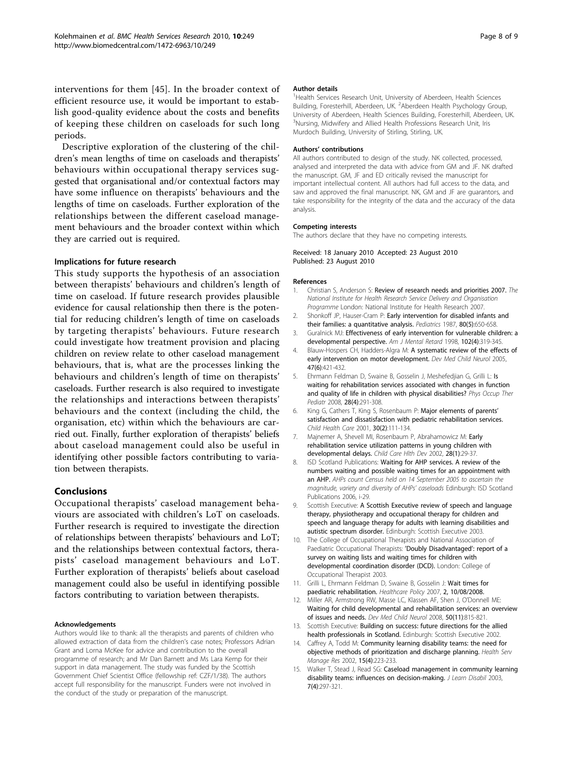<span id="page-7-0"></span>interventions for them [[45](#page-8-0)]. In the broader context of efficient resource use, it would be important to establish good-quality evidence about the costs and benefits of keeping these children on caseloads for such long periods.

Descriptive exploration of the clustering of the children's mean lengths of time on caseloads and therapists' behaviours within occupational therapy services suggested that organisational and/or contextual factors may have some influence on therapists' behaviours and the lengths of time on caseloads. Further exploration of the relationships between the different caseload management behaviours and the broader context within which they are carried out is required.

#### Implications for future research

This study supports the hypothesis of an association between therapists' behaviours and children's length of time on caseload. If future research provides plausible evidence for causal relationship then there is the potential for reducing children's length of time on caseloads by targeting therapists' behaviours. Future research could investigate how treatment provision and placing children on review relate to other caseload management behaviours, that is, what are the processes linking the behaviours and children's length of time on therapists' caseloads. Further research is also required to investigate the relationships and interactions between therapists' behaviours and the context (including the child, the organisation, etc) within which the behaviours are carried out. Finally, further exploration of therapists' beliefs about caseload management could also be useful in identifying other possible factors contributing to variation between therapists.

#### Conclusions

Occupational therapists' caseload management behaviours are associated with children's LoT on caseloads. Further research is required to investigate the direction of relationships between therapists' behaviours and LoT; and the relationships between contextual factors, therapists' caseload management behaviours and LoT. Further exploration of therapists' beliefs about caseload management could also be useful in identifying possible factors contributing to variation between therapists.

#### Acknowledgements

Authors would like to thank: all the therapists and parents of children who allowed extraction of data from the children's case notes; Professors Adrian Grant and Lorna McKee for advice and contribution to the overall programme of research; and Mr Dan Barnett and Ms Lara Kemp for their support in data management. The study was funded by the Scottish Government Chief Scientist Office (fellowship ref: CZF/1/38). The authors accept full responsibility for the manuscript. Funders were not involved in the conduct of the study or preparation of the manuscript.

#### Author details

<sup>1</sup>Health Services Research Unit, University of Aberdeen, Health Sciences Building, Foresterhill, Aberdeen, UK. <sup>2</sup>Aberdeen Health Psychology Group, University of Aberdeen, Health Sciences Building, Foresterhill, Aberdeen, UK. <sup>3</sup>Nursing, Midwifery and Allied Health Professions Research Unit, Iris Murdoch Building, University of Stirling, Stirling, UK.

#### Authors' contributions

All authors contributed to design of the study. NK collected, processed, analysed and interpreted the data with advice from GM and JF. NK drafted the manuscript. GM, JF and ED critically revised the manuscript for important intellectual content. All authors had full access to the data, and saw and approved the final manuscript. NK, GM and JF are guarantors, and take responsibility for the integrity of the data and the accuracy of the data analysis.

#### Competing interests

The authors declare that they have no competing interests.

#### Received: 18 January 2010 Accepted: 23 August 2010 Published: 23 August 2010

#### References

- 1. Christian S, Anderson S: Review of research needs and priorities 2007. The National Institute for Health Research Service Delivery and Organisation Programme London: National Institute for Health Research 2007.
- 2. Shonkoff JP, Hauser-Cram P: [Early intervention for disabled infants and](http://www.ncbi.nlm.nih.gov/pubmed/3313255?dopt=Abstract) [their families: a quantitative analysis.](http://www.ncbi.nlm.nih.gov/pubmed/3313255?dopt=Abstract) Pediatrics 1987, 80(5):650-658.
- 3. Guralnick MJ: Effectiveness of early intervention for vulnerable children: a developmental perspective. Am J Mental Retard 1998, 102(4):319-345.
- 4. Blauw-Hospers CH, Hadders-Algra M: [A systematic review of the effects of](http://www.ncbi.nlm.nih.gov/pubmed/15934492?dopt=Abstract) [early intervention on motor development.](http://www.ncbi.nlm.nih.gov/pubmed/15934492?dopt=Abstract) Dev Med Child Neurol 2005, 47(6):421-432.
- 5. Ehrmann Feldman D, Swaine B, Gosselin J, Meshefedjian G, Grilli L: [Is](http://www.ncbi.nlm.nih.gov/pubmed/19042472?dopt=Abstract) [waiting for rehabilitation services associated with changes in function](http://www.ncbi.nlm.nih.gov/pubmed/19042472?dopt=Abstract) [and quality of life in children with physical disabilities?](http://www.ncbi.nlm.nih.gov/pubmed/19042472?dopt=Abstract) Phys Occup Ther Pediatr 2008, 28(4):291-308.
- 6. King G, Cathers T, King S, Rosenbaum P: Major elements of parents' satisfaction and dissatisfaction with pediatric rehabilitation services. Child Health Care 2001, 30(2):111-134.
- 7. Majnemer A, Shevell MI, Rosenbaum P, Abrahamowicz M: Early rehabilitation service utilization patterns in young children with developmental delays. Child Care Hlth Dev 2002, 28(1):29-37.
- 8. ISD Scotland Publications: Waiting for AHP services. A review of the numbers waiting and possible waiting times for an appointment with an AHP. AHPs count Census held on 14 September 2005 to ascertain the magnitude, variety and diversity of AHPs' caseloads Edinburgh: ISD Scotland Publications 2006, i-29.
- 9. Scottish Executive: A Scottish Executive review of speech and language therapy, physiotherapy and occupational therapy for children and speech and language therapy for adults with learning disabilities and autistic spectrum disorder. Edinburgh: Scottish Executive 2003.
- 10. The College of Occupational Therapists and National Association of Paediatric Occupational Therapists: 'Doubly Disadvantaged': report of a survey on waiting lists and waiting times for children with developmental coordination disorder (DCD). London: College of Occupational Therapist 2003.
- 11. Grilli L, Ehrmann Feldman D, Swaine B, Gosselin J: [Wait times for](http://www.ncbi.nlm.nih.gov/pubmed/19305712?dopt=Abstract) [paediatric rehabilitation.](http://www.ncbi.nlm.nih.gov/pubmed/19305712?dopt=Abstract) Healthcare Policy 2007, 2, 10/08/2008.
- 12. Miller AR, Armstrong RW, Masse LC, Klassen AF, Shen J, O'Donnell ME: [Waiting for child developmental and rehabilitation services: an overview](http://www.ncbi.nlm.nih.gov/pubmed/18811706?dopt=Abstract) [of issues and needs.](http://www.ncbi.nlm.nih.gov/pubmed/18811706?dopt=Abstract) Dev Med Child Neurol 2008, 50(11):815-821.
- 13. Scottish Executive: Building on success: future directions for the allied health professionals in Scotland. Edinburgh: Scottish Executive 2002.
- 14. Caffrey A, Todd M: [Community learning disability teams: the need for](http://www.ncbi.nlm.nih.gov/pubmed/12396548?dopt=Abstract) [objective methods of prioritization and discharge planning.](http://www.ncbi.nlm.nih.gov/pubmed/12396548?dopt=Abstract) Health Serv Manage Res 2002, 15(4):223-233.
- 15. Walker T, Stead J, Read SG: Caseload management in community learning disability teams: influences on decision-making. J Learn Disabil 2003, 7(4):297-321.